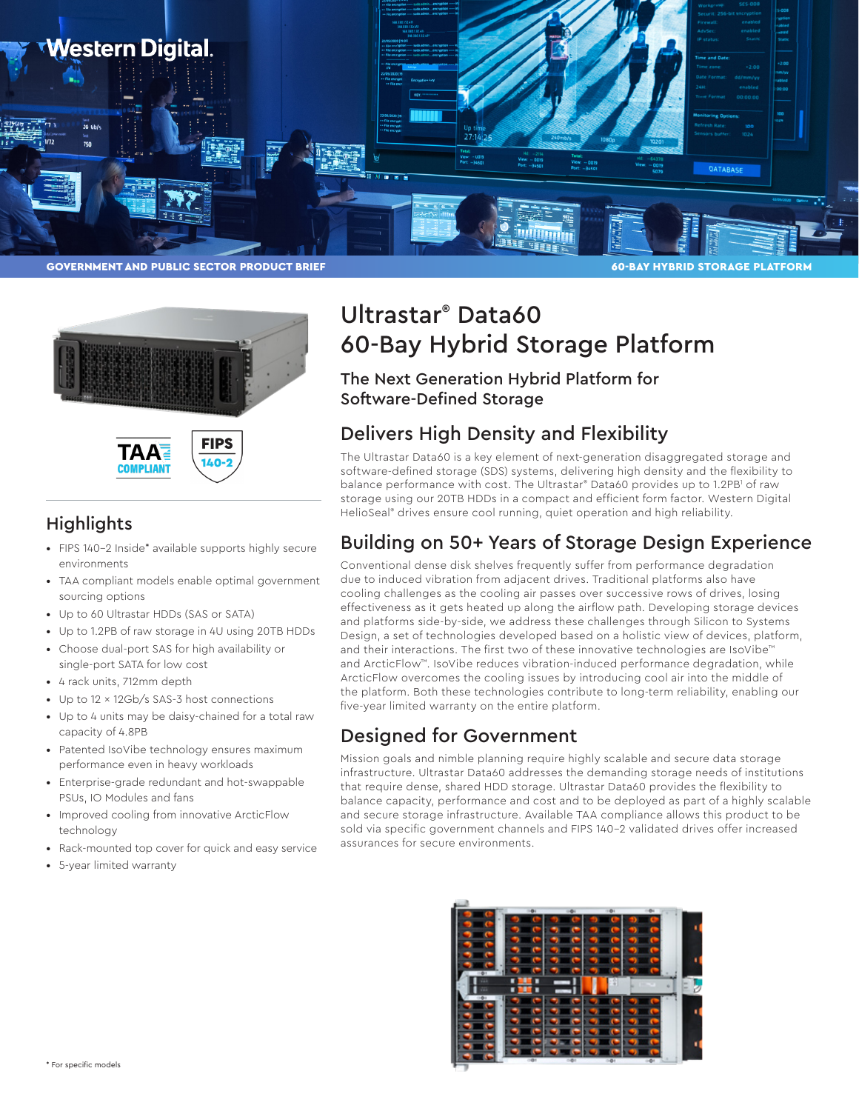





## **Highlights**

- FIPS 140-2 Inside\* available supports highly secure environments
- TAA compliant models enable optimal government sourcing options
- Up to 60 Ultrastar HDDs (SAS or SATA)
- Up to 1.2PB of raw storage in 4U using 20TB HDDs
- Choose dual-port SAS for high availability or single-port SATA for low cost
- 4 rack units, 712mm depth
- Up to 12 x 12Gb/s SAS-3 host connections
- Up to 4 units may be daisy-chained for a total raw capacity of 4.8PB
- Patented IsoVibe technology ensures maximum performance even in heavy workloads
- Enterprise-grade redundant and hot-swappable PSUs, IO Modules and fans
- Improved cooling from innovative ArcticFlow technology
- Rack-mounted top cover for quick and easy service
- 5-year limited warranty

# Ultrastar® Data60 60-Bay Hybrid Storage Platform

### The Next Generation Hybrid Platform for Software-Defined Storage

# Delivers High Density and Flexibility

The Ultrastar Data60 is a key element of next-generation disaggregated storage and software-defined storage (SDS) systems, delivering high density and the flexibility to balance performance with cost. The Ultrastar® Data60 provides up to 1.2PB' of raw storage using our 20TB HDDs in a compact and efficient form factor. Western Digital HelioSeal® drives ensure cool running, quiet operation and high reliability.

## Building on 50+ Years of Storage Design Experience

Conventional dense disk shelves frequently suffer from performance degradation due to induced vibration from adjacent drives. Traditional platforms also have cooling challenges as the cooling air passes over successive rows of drives, losing effectiveness as it gets heated up along the airflow path. Developing storage devices and platforms side-by-side, we address these challenges through Silicon to Systems Design, a set of technologies developed based on a holistic view of devices, platform, and their interactions. The first two of these innovative technologies are IsoVibe™ and ArcticFlow™. IsoVibe reduces vibration-induced performance degradation, while ArcticFlow overcomes the cooling issues by introducing cool air into the middle of the platform. Both these technologies contribute to long-term reliability, enabling our five-year limited warranty on the entire platform.

## Designed for Government

Mission goals and nimble planning require highly scalable and secure data storage infrastructure. Ultrastar Data60 addresses the demanding storage needs of institutions that require dense, shared HDD storage. Ultrastar Data60 provides the flexibility to balance capacity, performance and cost and to be deployed as part of a highly scalable and secure storage infrastructure. Available TAA compliance allows this product to be sold via specific government channels and FIPS 140-2 validated drives offer increased assurances for secure environments.